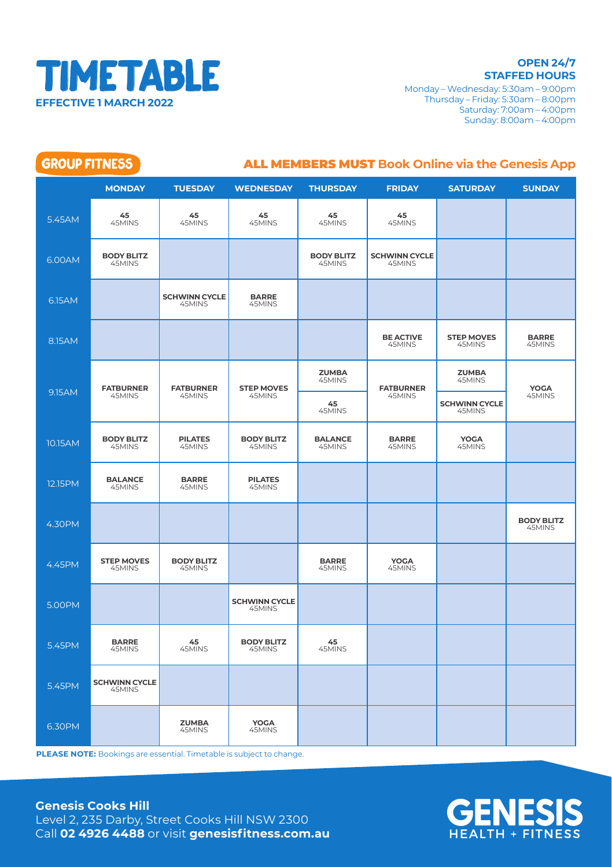

**STAFFED HOURS** Monday – Wednesday: 5:30am – 9:00pm Thursday – Friday: 5:30am – 8:00pm Saturday: 7:00am – 4:00pm Sunday: 8:00am – 4:00pm

| <b>GROUP FITNESS</b><br><b>ALL MEMBERS MUST Book Online via the Genesis App</b> |                                |                                |                                |                             |                                |                                |                             |  |
|---------------------------------------------------------------------------------|--------------------------------|--------------------------------|--------------------------------|-----------------------------|--------------------------------|--------------------------------|-----------------------------|--|
|                                                                                 | <b>MONDAY</b>                  | <b>TUESDAY</b>                 | <b>WEDNESDAY</b>               | <b>THURSDAY</b>             | <b>FRIDAY</b>                  | <b>SATURDAY</b>                | <b>SUNDAY</b>               |  |
| 5.45AM                                                                          | 45<br>45MINS                   | 45<br>45MINS                   | 45<br>45MINS                   | 45<br>45MINS                | 45<br>45MINS                   |                                |                             |  |
| 6.00AM                                                                          | <b>BODY BLITZ</b><br>45MINS    |                                |                                | <b>BODY BLITZ</b><br>45MINS | <b>SCHWINN CYCLE</b><br>45MINS |                                |                             |  |
| 6.15AM                                                                          |                                | <b>SCHWINN CYCLE</b><br>45MINS | <b>BARRE</b><br>45MINS         |                             |                                |                                |                             |  |
| 8.15AM                                                                          |                                |                                |                                |                             | <b>BE ACTIVE</b><br>45MINS     | <b>STEP MOVES</b><br>45MINS    | <b>BARRE</b><br>45MINS      |  |
| 9.15AM                                                                          | <b>FATBURNER</b><br>45MINS     | <b>FATBURNER</b><br>45MINS     | <b>STEP MOVES</b><br>45MINS    | <b>ZUMBA</b><br>45MINS      | <b>FATBURNER</b>               | <b>ZUMBA</b><br>45MINS         | <b>YOGA</b><br>45MINS       |  |
|                                                                                 |                                |                                |                                | 45<br>45MINS                | 45MINS                         | <b>SCHWINN CYCLE</b><br>45MINS |                             |  |
| 10.15AM                                                                         | <b>BODY BLITZ</b><br>45MINS    | <b>PILATES</b><br>45MINS       | <b>BODY BLITZ</b><br>45MINS    | <b>BALANCE</b><br>45MINS    | <b>BARRE</b><br>45MINS         | YOGA<br>45MINS                 |                             |  |
| 12.15PM                                                                         | <b>BALANCE</b><br>45MINS       | <b>BARRE</b><br>45MINS         | <b>PILATES</b><br>45MINS       |                             |                                |                                |                             |  |
| 4.30PM                                                                          |                                |                                |                                |                             |                                |                                | <b>BODY BLITZ</b><br>45MINS |  |
| 4.45PM                                                                          | <b>STEP MOVES</b><br>45MINS    | <b>BODY BLITZ</b><br>45MINS    |                                | <b>BARRE</b><br>45MINS      | <b>YOGA</b><br>45MINS          |                                |                             |  |
| 5.00PM                                                                          |                                |                                | <b>SCHWINN CYCLE</b><br>45MINS |                             |                                |                                |                             |  |
| 5.45PM                                                                          | <b>BARRE</b><br>45MINS         | 45<br>45MINS                   | <b>BODY BLITZ</b><br>45MINS    | 45<br>45MINS                |                                |                                |                             |  |
| 5.45PM                                                                          | <b>SCHWINN CYCLE</b><br>45MINS |                                |                                |                             |                                |                                |                             |  |
| 6.30PM                                                                          |                                | <b>ZUMBA</b><br>45MINS         | YOGA<br>45MINS                 |                             |                                |                                |                             |  |

**PLEASE NOTE:** Bookings are essential. Timetable is subject to change.

## **Genesis Cooks Hill**

Level 2, 235 Darby, Street Cooks Hill NSW 2300 Call **02 4926 4488** or visit **genesisfitness.com.au**